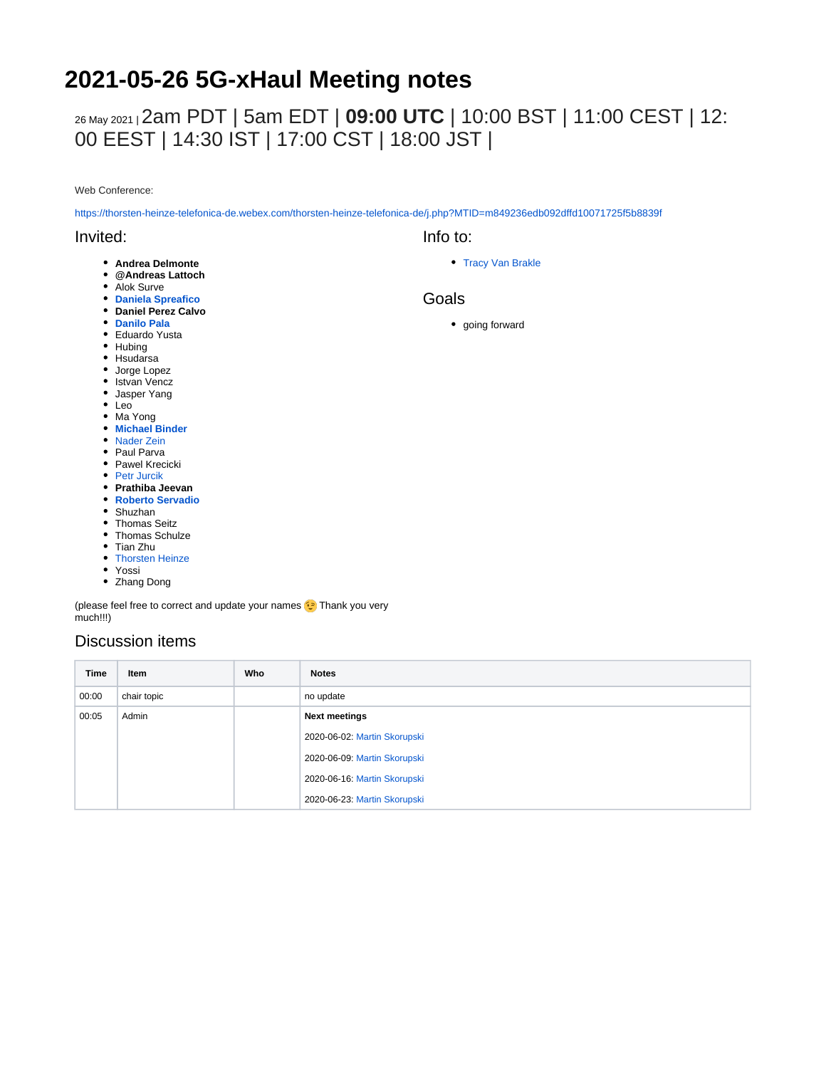# **2021-05-26 5G-xHaul Meeting notes**

## 26 May 2021 <sup>|</sup>2am PDT | 5am EDT | **09:00 UTC** | 10:00 BST | 11:00 CEST | 12: 00 EEST | 14:30 IST | 17:00 CST | 18:00 JST |

Web Conference:

<https://thorsten-heinze-telefonica-de.webex.com/thorsten-heinze-telefonica-de/j.php?MTID=m849236edb092dffd10071725f5b8839f>

#### Invited:

- **Andrea Delmonte**
- **@Andreas Lattoch**
- Alok Surve
- **[Daniela Spreafico](https://wiki.opennetworking.org/display/~spreafico.daniela)**
- **Daniel Perez Calvo**
- **[Danilo Pala](https://wiki.opennetworking.org/display/~danilo.pala)**
- Eduardo Yusta
- Hubing
- Hsudarsa
- Jorge Lopez • Istvan Vencz
- 
- Jasper Yang
- Leo
- Ma Yong **[Michael Binder](https://wiki.opennetworking.org/display/~michael.binder)**
- [Nader Zein](https://wiki.opennetworking.org/display/~nader.zein)
- Paul Parva
- Pawel Krecicki
- [Petr Jurcik](https://wiki.opennetworking.org/display/~petr.jurcik)
- **Prathiba Jeevan**
- **[Roberto Servadio](https://wiki.opennetworking.org/display/~roberto.servadio)**
- Shuzhan
- Thomas Seitz
- Thomas Schulze
- Tian Zhu
- [Thorsten Heinze](https://wiki.opennetworking.org/display/~thorsten.heinze)
- Yossi
- Zhang Dong

(please feel free to correct and update your names <a>[</a>>> Thank you very much!!!)

#### Discussion items

| <b>Time</b> | Item        | Who | <b>Notes</b>                 |
|-------------|-------------|-----|------------------------------|
| 00:00       | chair topic |     | no update                    |
| 00:05       | Admin       |     | <b>Next meetings</b>         |
|             |             |     | 2020-06-02: Martin Skorupski |
|             |             |     | 2020-06-09: Martin Skorupski |
|             |             |     | 2020-06-16: Martin Skorupski |
|             |             |     | 2020-06-23: Martin Skorupski |

• [Tracy Van Brakle](https://wiki.opennetworking.org/display/~tracyvb)

Info to:

#### Goals

• going forward